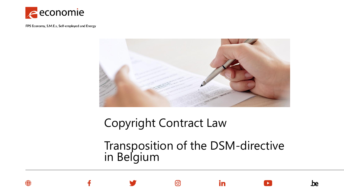



Copyright Contract Law

0

Transposition of the DSM-directive in Belgium

in

.be

**O**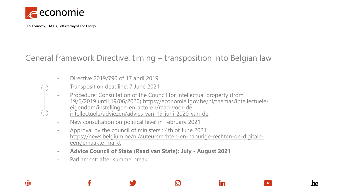

## General framework Directive: timing – transposition into Belgian law

- Directive 2019/790 of 17 april 2019
- Transposition deadline: 7 June 2021
- Procedure: Consultation of the Council for intellectual property (from 19/6/2019 until [19/06/2020\) https://economie.fgov.be/nl/themas/intellectuele](https://economie.fgov.be/nl/themas/intellectuele-eigendom/instellingen-en-actoren/raad-voor-de-intellectuele/adviezen/advies-van-19-juni-2020-van-de)eigendom/instellingen-en-actoren/raad-voor-deintellectuele/adviezen/advies-van-19-juni-2020-van-de
- New consultation on political level in February 2021
- Approval by the council of ministers : 4th of June 2021 [https://news.belgium.be/nl/auteursrechten-en-naburige-rechten-de-digitale](https://news.belgium.be/nl/auteursrechten-en-naburige-rechten-de-digitale-eengemaakte-markt)eengemaakte-markt

<u>(ဝ)</u>

in

.be

- **Advice Council of State (Raad van State): July - August 2021**
- Parliament: after summerbreak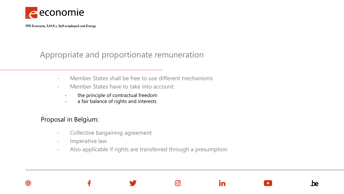

## Appropriate and proportionate remuneration

- Member States shall be free to use different mechanisms
- Member States have to take into account:
	- the principle of contractual freedom
	- a fair balance of rights and interests

## Proposal in Belgium:

- Collective bargaining agreement
- Imperative law
- Also applicable if rights are transferred through a presumption

[୦]

in

.he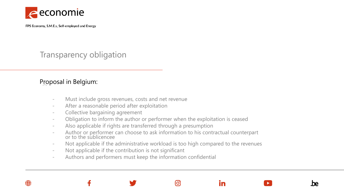

## Transparency obligation

#### Proposal in Belgium:

- Must include gross revenues, costs and net revenue
- After a reasonable period after exploitation
- Collective bargaining agreement
- Obligation to inform the author or performer when the exploitation is ceased
- Also applicable if rights are transferred through a presumption
- Author or performer can choose to ask information to his contractual counterpart or to the sublicencee
- Not applicable if the administrative workload is too high compared to the revenues

တြ

in

.he

- Not applicable if the contribution is not significant
- Authors and performers must keep the information confidential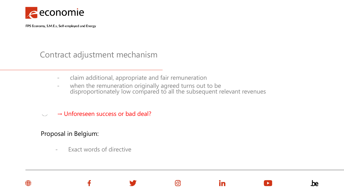

## Contract adjustment mechanism

- claim additional, appropriate and fair remuneration
- when the remuneration originally agreed turns out to be disproportionately low compared to all the subsequent relevant revenues

ര്ര

in

.he

 $\rightarrow$  Unforeseen success or bad deal?

#### Proposal in Belgium:

Exact words of directive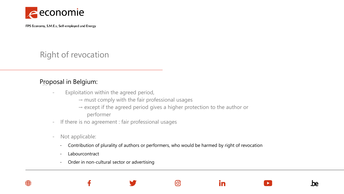

Right of revocation

#### Proposal in Belgium:

- Exploitation within the agreed period,
	- $\rightarrow$  must comply with the fair professional usages
	- $\rightarrow$  except if the agreed period gives a higher protection to the author or performer
- If there is no agreement : fair professional usages
- Not applicable:
	- Contribution of plurality of authors or performers, who would be harmed by right of revocation

<u>ଟ</u>

in

.he

- Labourcontract
- Order in non-cultural sector or advertising